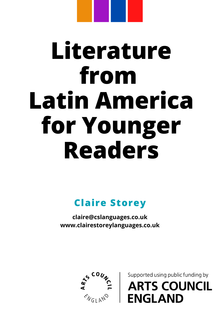# **Literature from Latin America for Younger Readers**

**Claire Storey**

**claire@cslanguages.co.uk www.clairestoreylanguages.co.uk**



Supported using public funding by **ARTS COUNCIL ENGLAND**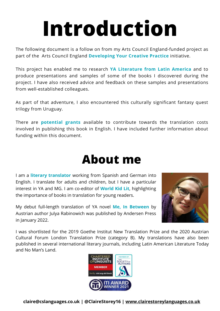## **Introduction**

The following document is a follow on from my Arts Council England-funded project as part of the Arts Council England **Developing Your Creative Practice** initiative.

This project has enabled me to research **YA Literature from Latin America** and to produce presentations and samples of some of the books I discovered during the project. I have also received advice and feedback on these samples and presentations from well-established colleagues.

As part of that adventure, I also encountered this culturally significant fantasy quest trilogy from Uruguay.

There are **potential grants** available to contribute towards the translation costs involved in publishing this book in English. I have included further information about funding within this document.

### **About me**

I am a **literary translator** working from Spanish and German into English. I translate for adults and children, but I have a particular interest in YA and MG. I am co-editor of **World Kid Lit**, highlighting the importance of books in translation for young readers.

My debut full-length translation of YA novel **Me, In Between** by Austrian author Julya Rabinowich was published by Andersen Press in January 2022.



I was shortlisted for the 2019 Goethe Institut New Translation Prize and the 2020 Austrian Cultural Forum London Translation Prize (category B). My translations have also been published in several international literary journals, including Latin American Literature Today and No Man's Land.

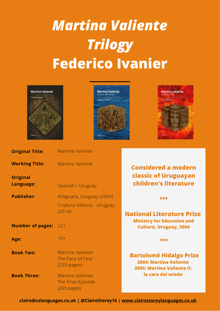## *Martina Valiente Trilogy* **Federico Ivanier**







| <b>Original Title:</b>       | Martina Valiente                                               |                                                                                                        |
|------------------------------|----------------------------------------------------------------|--------------------------------------------------------------------------------------------------------|
| <b>Working Title:</b>        | <b>Martina Valiente</b>                                        | <b>Considered a modern</b>                                                                             |
| <b>Original</b><br>Language: | Spanish / Uruguay                                              | <b>classic of Uruguayan</b><br>children's literature                                                   |
| <b>Publisher:</b>            | Alfaguara, Uruguay (2004)                                      | ***                                                                                                    |
| <b>Number of pages:</b>      | Criatura Editora, Uruguay<br>(2014)<br>221                     | <b>National Literature Prize</b><br><b>Ministry for Education and</b><br><b>Culture, Uruguay, 2004</b> |
| Age:                         | $10+$                                                          | ***                                                                                                    |
| <b>Book Two:</b>             | Martina Valiente:<br>The Face of Fear<br>$(255 \text{ pages})$ | <b>Bartolomé Hidalgo Prize</b><br><b>2004: Martina Valiente</b><br><b>2005: Martina Valiente II:</b>   |
| <b>Book Three:</b>           | Martina Valiente:<br>The Final Episode<br>(263 pages)          | la cara del miedo                                                                                      |

**claire@cslanguages.co.uk | @ClaireStorey16 | [www.clairestoreylanguages.co.uk](http://www.clairestoreylanguages.co.uk/)**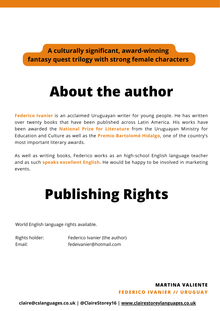**A culturally significant, award-winning fantasy quest trilogy with strong female characters**

### **About the author**

**Federico Ivanier** is an acclaimed Uruguayan writer for young people. He has written over twenty books that have been published across Latin America. His works have been awarded the **National Prize for Literature** from the Uruguayan Ministry for Education and Culture as well as the **Premio Bartolomé Hidalgo**, one of the country's most important literary awards.

As well as writing books, Federico works as an high-school English language teacher and as such **speaks excellent English**. He would be happy to be involved in marketing events.

### **Publishing Rights**

World English language rights available.

Rights holder: Federico Ivanier (the author) Email: fedeivanier@hotmail.com

#### **FEDERICO IVANI ER / / URUGUAY MARTINA VALIENTE**

**claire@cslanguages.co.uk | @ClaireStorey16 | [www.clairestoreylanguages.co.uk](http://www.clairestoreylanguages.co.uk/)**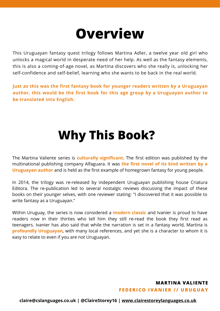### **Overview**

This Uruguayan fantasy quest trilogy follows Martina Adler, a twelve year old girl who unlocks a magical world in desperate need of her help. As well as the fantasy elements, this is also a coming-of-age novel, as Martina discovers who she really is, unlocking her self-confidence and self-belief, learning who she wants to be back in the real world.

**Just as this was the first fantasy book for younger readers written by a Uruguayan author, this would be the first book for this age group by a Uruguayan author to be translated into English.**

### **Why This Book?**

The Martina Valiente series is **culturally significant**. The first edition was published by the multinational publishing company Alfaguara. It was **the first novel of its kind written by a Uruguayan author** and is held as the first example of homegrown fantasy for young people.

In 2014, the trilogy was re-released by independent Uruguayan publishing house Criatura Editora. The re-publication led to several nostalgic reviews discussing the impact of these books on their younger selves, with one reviewer stating: "I discovered that it was possible to write fantasy as a Uruguayan."

Within Uruguay, the series is now considered a **modern classic** and Ivanier is proud to have readers now in their thirties who tell him they still re-read the book they first read as teenagers. Ivanier has also said that while the narration is set in a fantasy world, Martina is **profoundly Uruguayan**, with many local references, and yet she is a character to whom it is easy to relate to even if you are not Uruguayan.

### **FEDERICO IVANI ER / / URUGUAY MARTINA VALIENTE**

**claire@cslanguages.co.uk | @ClaireStorey16 | [www.clairestoreylanguages.co.uk](http://www.clairestoreylanguages.co.uk/)**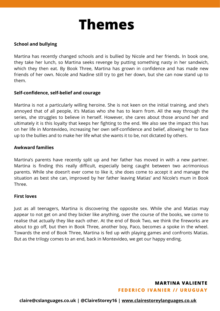### **Themes**

#### **School and bullying**

Martina has recently changed schools and is bullied by Nicole and her friends. In book one, they take her lunch, so Martina seeks revenge by putting something nasty in her sandwich, which they then eat. By Book Three, Martina has grown in confidence and has made new friends of her own. Nicole and Nadine still try to get her down, but she can now stand up to them.

#### **Self-confidence, self-belief and courage**

Martina is not a particularly willing heroine. She is not keen on the initial training, and she's annoyed that of all people, it's Matias who she has to learn from. All the way through the series, she struggles to believe in herself. However, she cares about those around her and ultimately it is this loyalty that keeps her fighting to the end. We also see the impact this has on her life in Montevideo, increasing her own self-confidence and belief, allowing her to face up to the bullies and to make her life what she wants it to be, not dictated by others.

#### **Awkward families**

Martina's parents have recently split up and her father has moved in with a new partner. Martina is finding this really difficult, especially being caught between two acrimonious parents. While she doesn't ever come to like it, she does come to accept it and manage the situation as best she can, improved by her father leaving Matias' and Nicole's mum in Book Three.

#### **First loves**

Just as all teenagers, Martina is discovering the opposite sex. While she and Matias may appear to not get on and they bicker like anything, over the course of the books, we come to realise that actually they like each other. At the end of Book Two, we think the fireworks are about to go off, but then in Book Three, another boy, Paco, becomes a spoke in the wheel. Towards the end of Book Three, Martina is fed up with playing games and confronts Matias. But as the trilogy comes to an end, back in Montevideo, we get our happy ending.

#### **FEDERICO IVANI ER / / URUGUAY MARTINA VALIENTE**